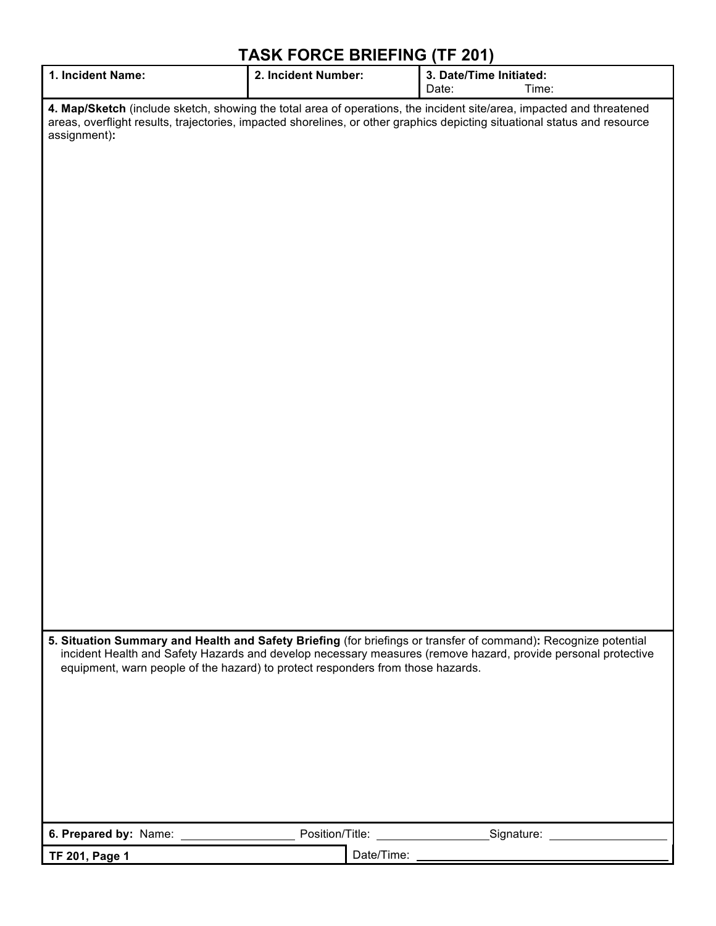## **TASK FORCE BRIEFING (TF 201)**

| 1. Incident Name:                                                                                                                                                                                                                                 | 2. Incident Number: | 3. Date/Time Initiated:<br>Time:<br>Date:                                                                                                                                                                                        |  |  |
|---------------------------------------------------------------------------------------------------------------------------------------------------------------------------------------------------------------------------------------------------|---------------------|----------------------------------------------------------------------------------------------------------------------------------------------------------------------------------------------------------------------------------|--|--|
| 4. Map/Sketch (include sketch, showing the total area of operations, the incident site/area, impacted and threatened<br>areas, overflight results, trajectories, impacted shorelines, or other graphics depicting situational status and resource |                     |                                                                                                                                                                                                                                  |  |  |
| assignment):                                                                                                                                                                                                                                      |                     |                                                                                                                                                                                                                                  |  |  |
|                                                                                                                                                                                                                                                   |                     |                                                                                                                                                                                                                                  |  |  |
|                                                                                                                                                                                                                                                   |                     |                                                                                                                                                                                                                                  |  |  |
|                                                                                                                                                                                                                                                   |                     |                                                                                                                                                                                                                                  |  |  |
|                                                                                                                                                                                                                                                   |                     |                                                                                                                                                                                                                                  |  |  |
|                                                                                                                                                                                                                                                   |                     |                                                                                                                                                                                                                                  |  |  |
|                                                                                                                                                                                                                                                   |                     |                                                                                                                                                                                                                                  |  |  |
|                                                                                                                                                                                                                                                   |                     |                                                                                                                                                                                                                                  |  |  |
|                                                                                                                                                                                                                                                   |                     |                                                                                                                                                                                                                                  |  |  |
|                                                                                                                                                                                                                                                   |                     |                                                                                                                                                                                                                                  |  |  |
|                                                                                                                                                                                                                                                   |                     |                                                                                                                                                                                                                                  |  |  |
|                                                                                                                                                                                                                                                   |                     |                                                                                                                                                                                                                                  |  |  |
|                                                                                                                                                                                                                                                   |                     |                                                                                                                                                                                                                                  |  |  |
|                                                                                                                                                                                                                                                   |                     |                                                                                                                                                                                                                                  |  |  |
|                                                                                                                                                                                                                                                   |                     |                                                                                                                                                                                                                                  |  |  |
| equipment, warn people of the hazard) to protect responders from those hazards.                                                                                                                                                                   |                     | 5. Situation Summary and Health and Safety Briefing (for briefings or transfer of command): Recognize potential<br>incident Health and Safety Hazards and develop necessary measures (remove hazard, provide personal protective |  |  |
|                                                                                                                                                                                                                                                   |                     |                                                                                                                                                                                                                                  |  |  |
|                                                                                                                                                                                                                                                   |                     |                                                                                                                                                                                                                                  |  |  |
|                                                                                                                                                                                                                                                   |                     |                                                                                                                                                                                                                                  |  |  |
|                                                                                                                                                                                                                                                   |                     |                                                                                                                                                                                                                                  |  |  |
|                                                                                                                                                                                                                                                   |                     |                                                                                                                                                                                                                                  |  |  |
| <b>TF 201, Page 1</b>                                                                                                                                                                                                                             |                     | Date/Time: experience and the state of the state of the state of the state of the state of the state of the state of the state of the state of the state of the state of the state of the state of the state of the state of t   |  |  |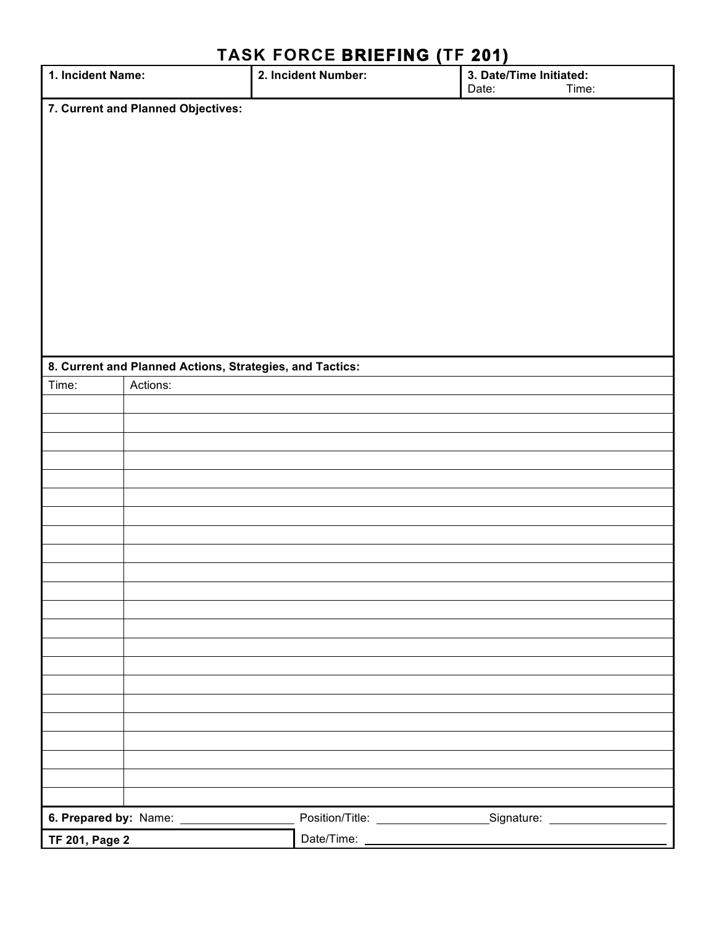| 1. Incident Name:                  |                                                          | <u>11011   UNUE BIME! 1110   1111   UNITED ST</u><br>2. Incident Number: | 3. Date/Time Initiated:<br>Date:<br>Time:                                        |  |  |  |
|------------------------------------|----------------------------------------------------------|--------------------------------------------------------------------------|----------------------------------------------------------------------------------|--|--|--|
| 7. Current and Planned Objectives: |                                                          |                                                                          |                                                                                  |  |  |  |
|                                    |                                                          |                                                                          |                                                                                  |  |  |  |
|                                    |                                                          |                                                                          |                                                                                  |  |  |  |
|                                    |                                                          |                                                                          |                                                                                  |  |  |  |
|                                    |                                                          |                                                                          |                                                                                  |  |  |  |
|                                    |                                                          |                                                                          |                                                                                  |  |  |  |
|                                    |                                                          |                                                                          |                                                                                  |  |  |  |
|                                    |                                                          |                                                                          |                                                                                  |  |  |  |
|                                    |                                                          |                                                                          |                                                                                  |  |  |  |
|                                    |                                                          |                                                                          |                                                                                  |  |  |  |
|                                    |                                                          |                                                                          |                                                                                  |  |  |  |
|                                    |                                                          |                                                                          |                                                                                  |  |  |  |
|                                    | 8. Current and Planned Actions, Strategies, and Tactics: |                                                                          |                                                                                  |  |  |  |
| Time:                              | Actions:                                                 |                                                                          |                                                                                  |  |  |  |
|                                    |                                                          |                                                                          |                                                                                  |  |  |  |
|                                    |                                                          |                                                                          |                                                                                  |  |  |  |
|                                    |                                                          |                                                                          |                                                                                  |  |  |  |
|                                    |                                                          |                                                                          |                                                                                  |  |  |  |
|                                    |                                                          |                                                                          |                                                                                  |  |  |  |
|                                    |                                                          |                                                                          |                                                                                  |  |  |  |
|                                    |                                                          |                                                                          |                                                                                  |  |  |  |
|                                    |                                                          |                                                                          |                                                                                  |  |  |  |
|                                    |                                                          |                                                                          |                                                                                  |  |  |  |
|                                    |                                                          |                                                                          |                                                                                  |  |  |  |
|                                    |                                                          |                                                                          |                                                                                  |  |  |  |
|                                    |                                                          |                                                                          |                                                                                  |  |  |  |
|                                    |                                                          |                                                                          |                                                                                  |  |  |  |
|                                    |                                                          |                                                                          |                                                                                  |  |  |  |
|                                    |                                                          |                                                                          |                                                                                  |  |  |  |
|                                    |                                                          |                                                                          |                                                                                  |  |  |  |
|                                    |                                                          |                                                                          |                                                                                  |  |  |  |
|                                    |                                                          |                                                                          |                                                                                  |  |  |  |
|                                    |                                                          |                                                                          |                                                                                  |  |  |  |
|                                    |                                                          |                                                                          |                                                                                  |  |  |  |
|                                    | 6. Prepared by: Name: __________________                 |                                                                          | Position/Title: __________________________Signature: ___________________________ |  |  |  |
| <b>TF 201, Page 2</b>              |                                                          |                                                                          |                                                                                  |  |  |  |

## **TASK FORCE BRIEFING (TF 201)**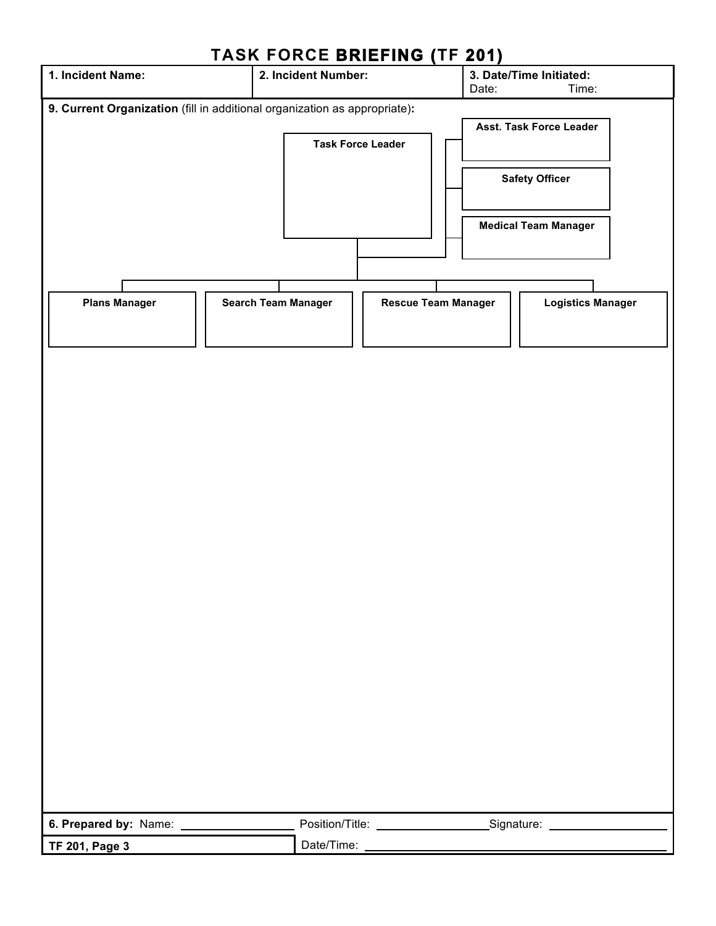| 1. Incident Name:                                                         | 2. Incident Number: | INUN I UNUL DINILI INU [II                                                       | $\sim$ $\sim$ $\sim$ $\sim$<br>Date: | 3. Date/Time Initiated:<br>Time:                                                |
|---------------------------------------------------------------------------|---------------------|----------------------------------------------------------------------------------|--------------------------------------|---------------------------------------------------------------------------------|
|                                                                           |                     |                                                                                  |                                      |                                                                                 |
| 9. Current Organization (fill in additional organization as appropriate): |                     | <b>Task Force Leader</b>                                                         |                                      | Asst. Task Force Leader<br><b>Safety Officer</b><br><b>Medical Team Manager</b> |
| <b>Plans Manager</b>                                                      | Search Team Manager | <b>Rescue Team Manager</b>                                                       |                                      | <b>Logistics Manager</b>                                                        |
|                                                                           |                     |                                                                                  |                                      |                                                                                 |
|                                                                           |                     |                                                                                  |                                      |                                                                                 |
| 6. Prepared by: Name:                                                     |                     | Position/Title: ___________________________________Signature: __________________ |                                      |                                                                                 |
| <b>TF 201, Page 3</b>                                                     |                     | Date/Time:                                                                       |                                      |                                                                                 |